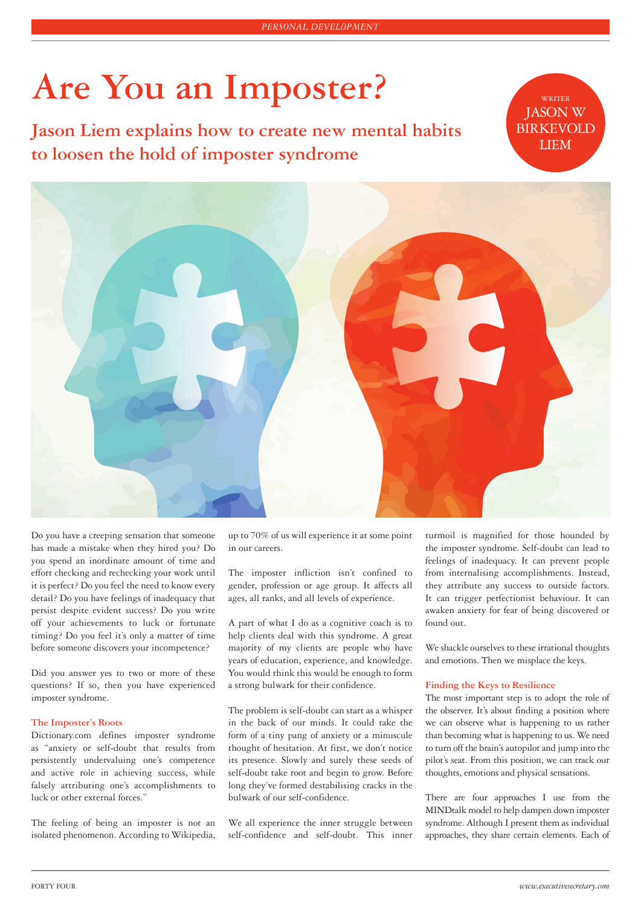# **Are You an Imposter?** WRITER

Jason Liem explains how to create new mental habits **BIRKEVO to loosen the hold of imposter syndrome**

JASON W **BIRKEVOLD** 



Do you have a creeping sensation that someone has made a mistake when they hired you? Do you spend an inordinate amount of time and effort checking and rechecking your work until it is perfect? Do you feel the need to know every detail? Do you have feelings of inadequacy that persist despite evident success? Do you write off your achievements to luck or fortunate timing? Do you feel it's only a matter of time before someone discovers your incompetence?

Did you answer yes to two or more of these questions? If so, then you have experienced imposter syndrome.

# **The Imposter's Roots**

Dictionary.com defines imposter syndrome as "anxiety or self-doubt that results from persistently undervaluing one's competence and active role in achieving success, while falsely attributing one's accomplishments to luck or other external forces."

The feeling of being an imposter is not an isolated phenomenon. According to Wikipedia, up to 70% of us will experience it at some point in our careers.

The imposter infliction isn't confined to gender, profession or age group. It affects all ages, all ranks, and all levels of experience.

A part of what I do as a cognitive coach is to help clients deal with this syndrome. A great majority of my clients are people who have years of education, experience, and knowledge. You would think this would be enough to form a strong bulwark for their confidence.

The problem is self-doubt can start as a whisper in the back of our minds. It could take the form of a tiny pang of anxiety or a minuscule thought of hesitation. At first, we don't notice its presence. Slowly and surely these seeds of self-doubt take root and begin to grow. Before long they've formed destabilising cracks in the bulwark of our self-confidence.

We all experience the inner struggle between self-confidence and self-doubt. This inner

turmoil is magnified for those hounded by the imposter syndrome. Self-doubt can lead to feelings of inadequacy. It can prevent people from internalising accomplishments. Instead, they attribute any success to outside factors. It can trigger perfectionist behaviour. It can awaken anxiety for fear of being discovered or found out.

We shackle ourselves to these irrational thoughts and emotions. Then we misplace the keys.

## **Finding the Keys to Resilience**

The most important step is to adopt the role of the observer. It's about finding a position where we can observe what is happening to us rather than becoming what is happening to us. We need to turn off the brain's autopilot and jump into the pilot's seat. From this position, we can track our thoughts, emotions and physical sensations.

There are four approaches I use from the MINDtalk model to help dampen down imposter syndrome. Although I present them as individual approaches, they share certain elements. Each of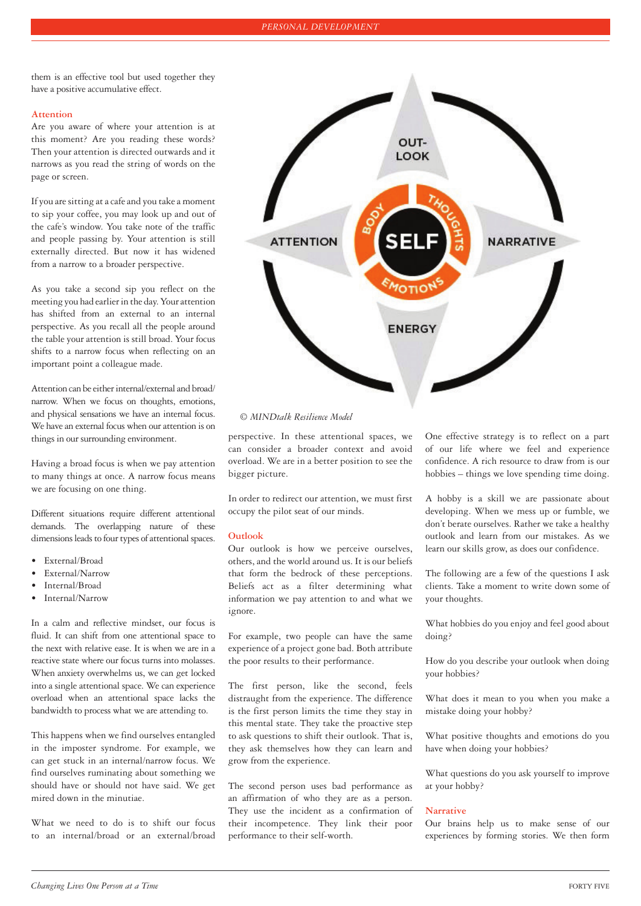them is an effective tool but used together they have a positive accumulative effect.

#### **Attention**

Are you aware of where your attention is at this moment? Are you reading these words? Then your attention is directed outwards and it narrows as you read the string of words on the page or screen.

If you are sitting at a cafe and you take a moment to sip your coffee, you may look up and out of the cafe's window. You take note of the traffic and people passing by. Your attention is still externally directed. But now it has widened from a narrow to a broader perspective.

As you take a second sip you reflect on the meeting you had earlier in the day. Your attention has shifted from an external to an internal perspective. As you recall all the people around the table your attention is still broad. Your focus shifts to a narrow focus when reflecting on an important point a colleague made.

Attention can be either internal/external and broad/ narrow. When we focus on thoughts, emotions, and physical sensations we have an internal focus. We have an external focus when our attention is on things in our surrounding environment.

Having a broad focus is when we pay attention to many things at once. A narrow focus means we are focusing on one thing.

Different situations require different attentional demands. The overlapping nature of these dimensions leads to four types of attentional spaces.

- External/Broad
- External/Narrow
- Internal/Broad
- Internal/Narrow

In a calm and reflective mindset, our focus is fluid. It can shift from one attentional space to the next with relative ease. It is when we are in a reactive state where our focus turns into molasses. When anxiety overwhelms us, we can get locked into a single attentional space. We can experience overload when an attentional space lacks the bandwidth to process what we are attending to.

This happens when we find ourselves entangled in the imposter syndrome. For example, we can get stuck in an internal/narrow focus. We find ourselves ruminating about something we should have or should not have said. We get mired down in the minutiae.

What we need to do is to shift our focus to an internal/broad or an external/broad



# *© MINDtalk Resilience Model*

perspective. In these attentional spaces, we can consider a broader context and avoid overload. We are in a better position to see the bigger picture.

In order to redirect our attention, we must first occupy the pilot seat of our minds.

## **Outlook**

Our outlook is how we perceive ourselves, others, and the world around us. It is our beliefs that form the bedrock of these perceptions. Beliefs act as a filter determining what information we pay attention to and what we ignore.

For example, two people can have the same experience of a project gone bad. Both attribute the poor results to their performance.

The first person, like the second, feels distraught from the experience. The difference is the first person limits the time they stay in this mental state. They take the proactive step to ask questions to shift their outlook. That is, they ask themselves how they can learn and grow from the experience.

The second person uses bad performance as an affirmation of who they are as a person. They use the incident as a confirmation of their incompetence. They link their poor performance to their self-worth.

One effective strategy is to reflect on a part of our life where we feel and experience confidence. A rich resource to draw from is our hobbies – things we love spending time doing.

A hobby is a skill we are passionate about developing. When we mess up or fumble, we don't berate ourselves. Rather we take a healthy outlook and learn from our mistakes. As we learn our skills grow, as does our confidence.

The following are a few of the questions I ask clients. Take a moment to write down some of your thoughts.

What hobbies do you enjoy and feel good about doing?

How do you describe your outlook when doing your hobbies?

What does it mean to you when you make a mistake doing your hobby?

What positive thoughts and emotions do you have when doing your hobbies?

What questions do you ask yourself to improve at your hobby?

## **Narrative**

Our brains help us to make sense of our experiences by forming stories. We then form